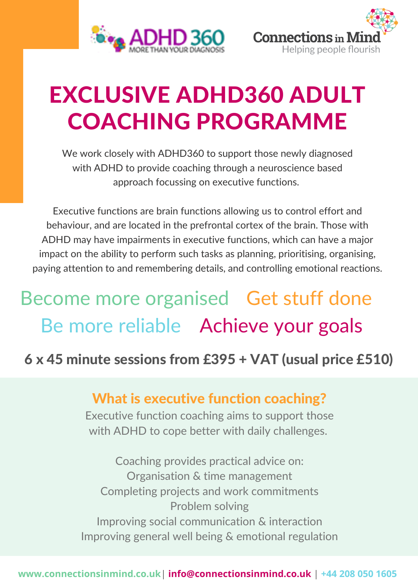



# EXCLUSIVE ADHD360 ADULT COACHING PROGRAMME

We work closely with ADHD360 to support those newly diagnosed with ADHD to provide coaching through a neuroscience based approach focussing on executive functions.

Executive functions are brain functions allowing us to control effort and behaviour, and are located in the prefrontal cortex of the brain. Those with ADHD may have impairments in executive functions, which can have a major impact on the ability to perform such tasks as planning, prioritising, organising, paying attention to and remembering details, and controlling emotional reactions.

## Become more organised Get stuff done Be more reliable Achieve your goals

### 6 x 45 minute sessions from £395 + VAT (usual price £510)

#### What is executive function coaching?

Executive function coaching aims to support those with ADHD to cope better with daily challenges.

Coaching provides practical advice on: Organisation & time management Completing projects and work commitments Problem solving Improving social communication & interaction Improving general well being & emotional regulation